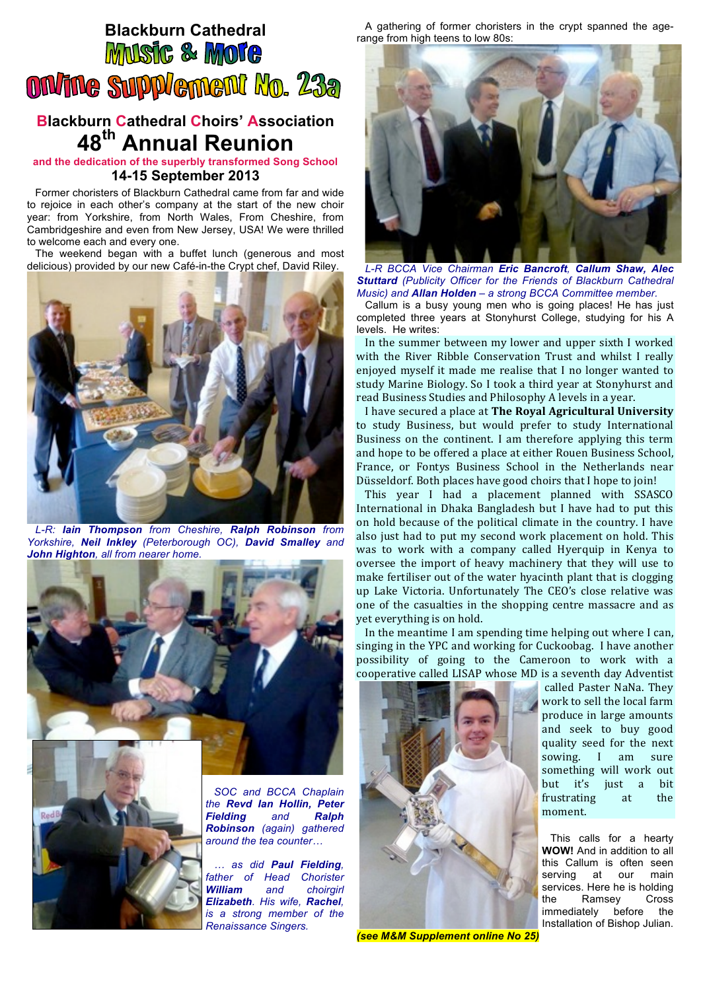# **Blackburn Cathedral**<br>**MUSIC & MOTC ONTHE SUPPLEMENT No. 23a**

# **Blackburn Cathedral Choirs' Association 48th Annual Reunion**

## **and the dedication of the superbly transformed Song School 14-15 September 2013**

Former choristers of Blackburn Cathedral came from far and wide to rejoice in each other's company at the start of the new choir year: from Yorkshire, from North Wales, From Cheshire, from Cambridgeshire and even from New Jersey, USA! We were thrilled to welcome each and every one.

The weekend began with a buffet lunch (generous and most delicious) provided by our new Café-in-the Crypt chef, David Riley.



*L-R: Iain Thompson from Cheshire, Ralph Robinson from Yorkshire, Neil Inkley (Peterborough OC), David Smalley and John Highton, all from nearer home.*





*SOC and BCCA Chaplain the Revd Ian Hollin, Peter Fielding and Ralph Robinson (again) gathered around the tea counter…*

*… as did Paul Fielding, father of Head Chorister William and choirgirl Elizabeth. His wife, Rachel, is a strong member of the Renaissance Singers.*

A gathering of former choristers in the crypt spanned the agerange from high teens to low 80s:



*L-R BCCA Vice Chairman Eric Bancroft, Callum Shaw, Alec Stuttard (Publicity Officer for the Friends of Blackburn Cathedral Music) and Allan Holden – a strong BCCA Committee member.*

Callum is a busy young men who is going places! He has just completed three years at Stonyhurst College, studying for his A levels. He writes:

In the summer between my lower and upper sixth I worked with the River Ribble Conservation Trust and whilst I really enjoved myself it made me realise that I no longer wanted to study Marine Biology. So I took a third year at Stonyhurst and read Business Studies and Philosophy A levels in a year.

I have secured a place at **The Royal Agricultural University** to study Business, but would prefer to study International Business on the continent. I am therefore applying this term and hope to be offered a place at either Rouen Business School, France, or Fontys Business School in the Netherlands near Düsseldorf. Both places have good choirs that I hope to join!

This year I had a placement planned with SSASCO International in Dhaka Bangladesh but I have had to put this on hold because of the political climate in the country. I have also just had to put my second work placement on hold. This was to work with a company called Hyerquip in Kenya to oversee the import of heavy machinery that they will use to make fertiliser out of the water hyacinth plant that is clogging up Lake Victoria. Unfortunately The CEO's close relative was one of the casualties in the shopping centre massacre and as vet everything is on hold.

In the meantime I am spending time helping out where I can, singing in the YPC and working for Cuckoobag. I have another possibility of going to the Cameroon to work with a cooperative called LISAP whose MD is a seventh day Adventist



*(see M&M Supplement online No 25)*

called Paster NaNa. They work to sell the local farm produce in large amounts and seek to buy good quality seed for the next sowing. I am sure something will work out but it's just a bit frustrating at the moment.

This calls for a hearty **WOW!** And in addition to all this Callum is often seen serving at our main services. Here he is holding the Ramsey Cross immediately before the Installation of Bishop Julian.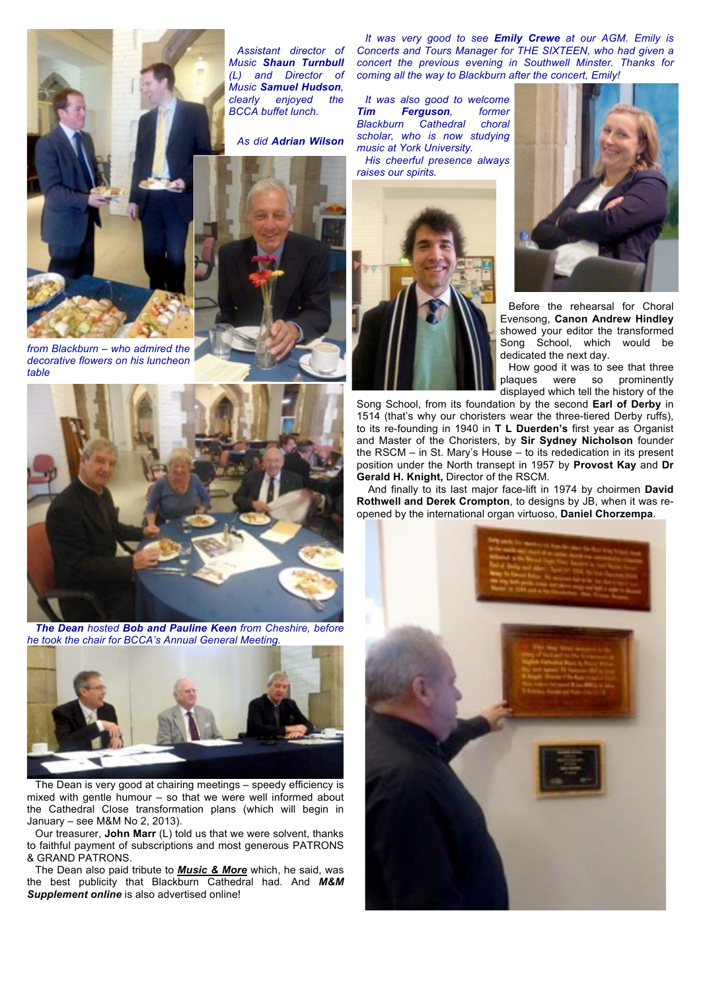*Assistant director of Music Shaun Turnbull (L) and Director of Music Samuel Hudson, clearly enjoyed the BCCA buffet lunch.*

*As did Adrian Wilson*



*from Blackburn – who admired the decorative flowers on his luncheon table*





*The Dean hosted Bob and Pauline Keen from Cheshire, before he took the chair for BCCA's Annual General Meeting.*



The Dean is very good at chairing meetings – speedy efficiency is mixed with gentle humour – so that we were well informed about the Cathedral Close transformation plans (which will begin in January – see M&M No 2, 2013).

Our treasurer, **John Marr** (L) told us that we were solvent, thanks to faithful payment of subscriptions and most generous PATRONS & GRAND PATRONS.

The Dean also paid tribute to *Music & More* which, he said, was the best publicity that Blackburn Cathedral had. And *M&M Supplement online* is also advertised online!

*It was very good to see Emily Crewe at our AGM. Emily is Concerts and Tours Manager for THE SIXTEEN, who had given a concert the previous evening in Southwell Minster. Thanks for coming all the way to Blackburn after the concert, Emily!*

*It was also good to welcome Tim Ferguson, former Blackburn Cathedral choral scholar, who is now studying music at York University. His cheerful presence always raises our spirits.* 





Before the rehearsal for Choral Evensong, **Canon Andrew Hindley**  showed your editor the transformed Song School, which would be dedicated the next day.

How good it was to see that three plaques were so prominently displayed which tell the history of the

Song School, from its foundation by the second **Earl of Derby** in 1514 (that's why our choristers wear the three-tiered Derby ruffs), to its re-founding in 1940 in **T L Duerden's** first year as Organist and Master of the Choristers, by **Sir Sydney Nicholson** founder the RSCM – in St. Mary's House – to its rededication in its present position under the North transept in 1957 by **Provost Kay** and **Dr Gerald H. Knight,** Director of the RSCM.

 And finally to its last major face-lift in 1974 by choirmen **David Rothwell and Derek Crompton**, to designs by JB, when it was reopened by the international organ virtuoso, **Daniel Chorzempa**.

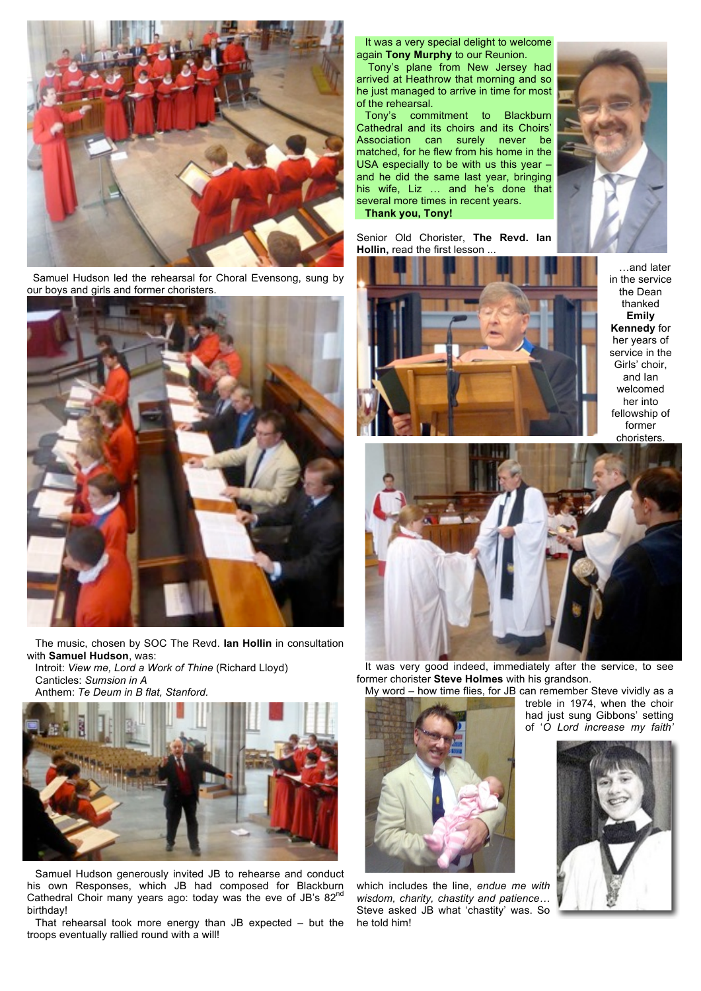

 Samuel Hudson led the rehearsal for Choral Evensong, sung by our boys and girls and former choristers.



The music, chosen by SOC The Revd. **Ian Hollin** in consultation with **Samuel Hudson**, was: Introit: *View me, Lord a Work of Thine* (Richard Lloyd)

Canticles: *Sumsion in A* Anthem: *Te Deum in B flat, Stanford.*



Samuel Hudson generously invited JB to rehearse and conduct his own Responses, which JB had composed for Blackburn Cathedral Choir many years ago: today was the eve of JB's 82<sup>nd</sup> birthday!

That rehearsal took more energy than JB expected – but the troops eventually rallied round with a will!

It was a very special delight to welcome again **Tony Murphy** to our Reunion.

 Tony's plane from New Jersey had arrived at Heathrow that morning and so he just managed to arrive in time for most of the rehearsal.

Tony's commitment to Blackburn Cathedral and its choirs and its Choirs' Association can surely never be matched, for he flew from his home in the USA especially to be with us this year – and he did the same last year, bringing his wife, Liz … and he's done that several more times in recent years. **Thank you, Tony!**

Senior Old Chorister, **The Revd. Ian Hollin,** read the first lesson ...



…and later in the service the Dean thanked **Emily Kennedy** for her years of service in the Girls' choir, and Ian welcomed her into fellowship of former choristers.



It was very good indeed, immediately after the service, to see former chorister **Steve Holmes** with his grandson. My word – how time flies, for JB can remember Steve vividly as a



which includes the line, *endue me with wisdom, charity, chastity and patience…* Steve asked JB what 'chastity' was. So he told him!

treble in 1974, when the choir had just sung Gibbons' setting of '*O Lord increase my faith'*



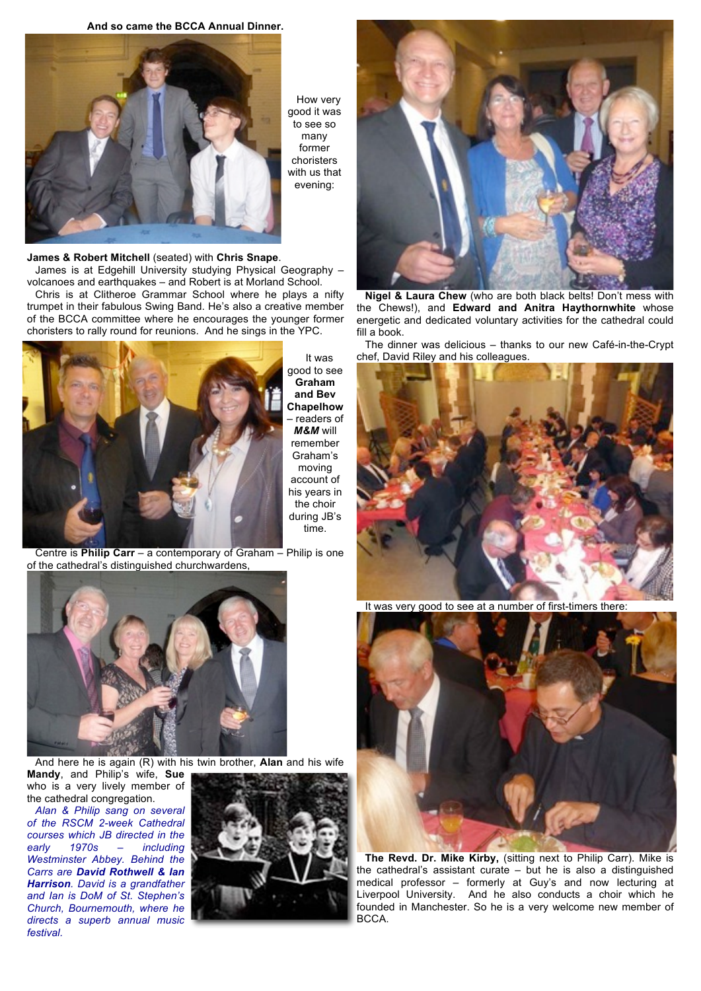**And so came the BCCA Annual Dinner.**



How very good it was to see so many former choristers with us that evening:

#### **James & Robert Mitchell** (seated) with **Chris Snape**.

James is at Edgehill University studying Physical Geography – volcanoes and earthquakes – and Robert is at Morland School.

Chris is at Clitheroe Grammar School where he plays a nifty trumpet in their fabulous Swing Band. He's also a creative member of the BCCA committee where he encourages the younger former choristers to rally round for reunions. And he sings in the YPC.



**Graham and Bev Chapelhow** – readers of *M&M* will remember Graham's moving account of his years in the choir during JB's time.

Centre is **Philip Carr** – a contemporary of Graham – Philip is one of the cathedral's distinguished churchwardens,



And here he is again (R) with his twin brother, **Alan** and his wife

**Mandy**, and Philip's wife, **Sue** who is a very lively member of the cathedral congregation.

*Alan & Philip sang on several of the RSCM 2-week Cathedral courses which JB directed in the early 1970s – including Westminster Abbey. Behind the Carrs are David Rothwell & Ian Harrison. David is a grandfather and Ian is DoM of St. Stephen's Church, Bournemouth, where he directs a superb annual music festival.*





**Nigel & Laura Chew** (who are both black belts! Don't mess with the Chews!), and **Edward and Anitra Haythornwhite** whose energetic and dedicated voluntary activities for the cathedral could fill a book.

The dinner was delicious – thanks to our new Café-in-the-Crypt chef, David Riley and his colleagues.



It was very good to see at a number of first-timers there



**The Revd. Dr. Mike Kirby,** (sitting next to Philip Carr). Mike is the cathedral's assistant curate – but he is also a distinguished medical professor – formerly at Guy's and now lecturing at Liverpool University. And he also conducts a choir which he founded in Manchester. So he is a very welcome new member of BCCA.